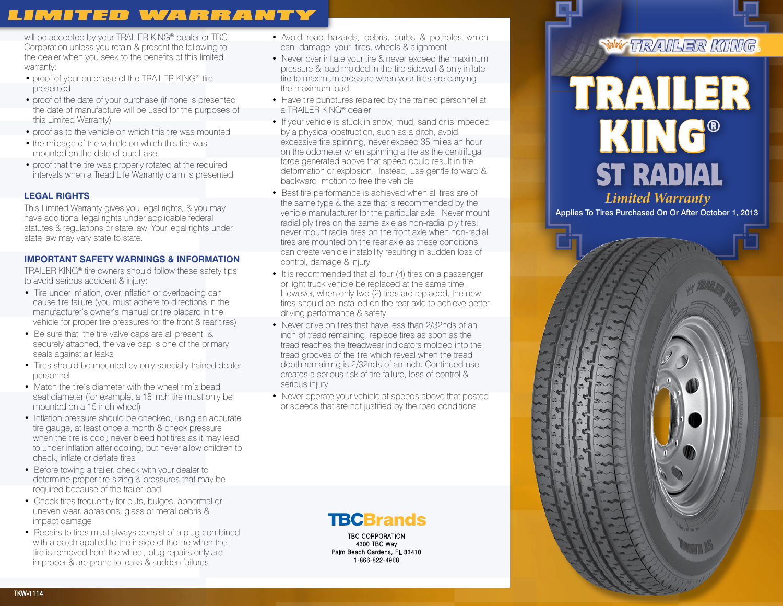# **LIMITED WARRANTY**

will be accepted by your TRAILER KING<sup>®</sup> dealer or TBC Corporation unless you retain & present the following to the dealer when you seek to the benefits of this limited warranty:

- proof of your purchase of the TRAILER KING® tire presented
- proof of the date of your purchase (if none is presented the date of manufacture will be used for the purposes of this Limited Warranty)
- proof as to the vehicle on which this tire was mounted
- the mileage of the vehicle on which this tire was mounted on the date of purchase
- proof that the tire was properly rotated at the required intervals when a Tread Life Warranty claim is presented

# **LEGAL RIGHTS**

TKW-1114

This Limited Warranty gives you legal rights, & you may have additional legal rights under applicable federal statutes & regulations or state law. Your legal rights under state law may vary state to state.

# **IMPORTANT SAFETY WARNINGS & INFORMATION**

TRAILER KING® tire owners should follow these safety tips to avoid serious accident & injury:

- Tire under inflation, over inflation or overloading can cause tire failure (you must adhere to directions in the manufacturer's owner's manual or tire placard in the vehicle for proper tire pressures for the front & rear tires)
- Be sure that the tire valve caps are all present & securely attached, the valve cap is one of the primary seals against air leaks
- Tires should be mounted by only specially trained dealer personnel
- Match the tire's diameter with the wheel rim's bead seat diameter (for example, a 15 inch tire must only be mounted on a 15 inch wheel)
- Inflation pressure should be checked, using an accurate tire gauge, at least once a month & check pressure when the tire is cool; never bleed hot tires as it may lead to under inflation after cooling; but never allow children to check, inflate or deflate tires
- Before towing a trailer, check with your dealer to determine proper tire sizing & pressures that may be required because of the trailer load
- Check tires frequently for cuts, bulges, abnormal or uneven wear, abrasions, glass or metal debris & impact damage
- Repairs to tires must always consist of a plug combined with a patch applied to the inside of the tire when the tire is removed from the wheel; plug repairs only are improper & are prone to leaks & sudden failures
- Avoid road hazards, debris, curbs & potholes which can damage your tires, wheels & alignment
- Never over inflate your tire & never exceed the maximum pressure & load molded in the tire sidewall & only inflate tire to maximum pressure when your tires are carrying the maximum load
- Have tire punctures repaired by the trained personnel at a TRAILER KING® dealer
- If your vehicle is stuck in snow, mud, sand or is impeded by a physical obstruction, such as a ditch, avoid excessive tire spinning; never exceed 35 miles an hour on the odometer when spinning a tire as the centrifugal force generated above that speed could result in tire deformation or explosion. Instead, use gentle forward & backward motion to free the vehicle
- Best tire performance is achieved when all tires are of the same type & the size that is recommended by the vehicle manufacturer for the particular axle. Never mount radial ply tires on the same axle as non-radial ply tires; never mount radial tires on the front axle when non-radial tires are mounted on the rear axle as these conditions can create vehicle instability resulting in sudden loss of control, damage & injury
- It is recommended that all four (4) tires on a passenger or light truck vehicle be replaced at the same time. However, when only two (2) tires are replaced, the new tires should be installed on the rear axle to achieve better driving performance & safety
- Never drive on tires that have less than 2/32nds of an inch of tread remaining; replace tires as soon as the tread reaches the treadwear indicators molded into the tread grooves of the tire which reveal when the tread depth remaining is 2/32nds of an inch. Continued use creates a serious risk of tire failure, loss of control & serious injury
- Never operate your vehicle at speeds above that posted or speeds that are not justified by the road conditions

**TBCBrands** TBC CORPORATION

4300 TBC Way Palm Beach Gardens, FL 33410 1-866-822-4968

# WW TRAILFR KING



*Limited Warranty*

Applies To Tires Purchased On Or After October 1, 2013